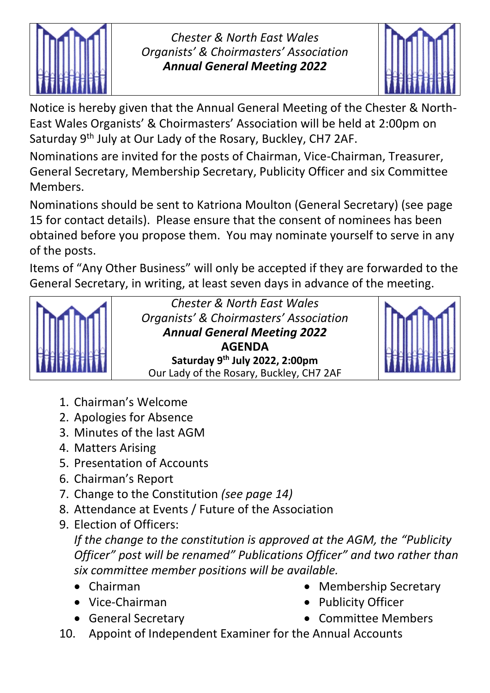

*Chester & North East Wales Organists' & Choirmasters' Association Annual General Meeting 2022*



Notice is hereby given that the Annual General Meeting of the Chester & North-East Wales Organists' & Choirmasters' Association will be held at 2:00pm on Saturday 9th July at Our Lady of the Rosary, Buckley, CH7 2AF.

Nominations are invited for the posts of Chairman, Vice-Chairman, Treasurer, General Secretary, Membership Secretary, Publicity Officer and six Committee Members.

Nominations should be sent to Katriona Moulton (General Secretary) (see page 15 for contact details). Please ensure that the consent of nominees has been obtained before you propose them. You may nominate yourself to serve in any of the posts.

Items of "Any Other Business" will only be accepted if they are forwarded to the General Secretary, in writing, at least seven days in advance of the meeting.



*Chester & North East Wales Organists' & Choirmasters' Association Annual General Meeting 2022* **AGENDA Saturday 9th July 2022, 2:00pm** Our Lady of the Rosary, Buckley, CH7 2AF



- 1. Chairman's Welcome
- 2. Apologies for Absence
- 3. Minutes of the last AGM
- 4. Matters Arising
- 5. Presentation of Accounts
- 6. Chairman's Report
- 7. Change to the Constitution *(see page 14)*
- 8. Attendance at Events / Future of the Association
- 9. Election of Officers:

*If the change to the constitution is approved at the AGM, the "Publicity Officer" post will be renamed" Publications Officer" and two rather than six committee member positions will be available.*

- Chairman
- Vice-Chairman
- General Secretary
- Membership Secretary
- Publicity Officer
- Committee Members
- 10. Appoint of Independent Examiner for the Annual Accounts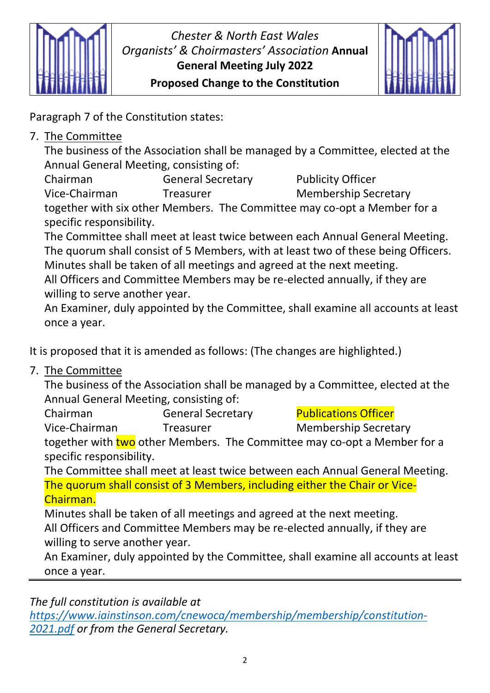

## *Chester & North East Wales Organists' & Choirmasters' Association* **Annual General Meeting July 2022 Proposed Change to the Constitution**



Paragraph 7 of the Constitution states:

7. The Committee

The business of the Association shall be managed by a Committee, elected at the Annual General Meeting, consisting of:

Chairman **General Secretary** Publicity Officer Vice-Chairman Treasurer Membership Secretary

together with six other Members. The Committee may co-opt a Member for a specific responsibility.

The Committee shall meet at least twice between each Annual General Meeting. The quorum shall consist of 5 Members, with at least two of these being Officers. Minutes shall be taken of all meetings and agreed at the next meeting. All Officers and Committee Members may be re-elected annually, if they are willing to serve another year.

An Examiner, duly appointed by the Committee, shall examine all accounts at least once a year.

It is proposed that it is amended as follows: (The changes are highlighted.)

7. The Committee

The business of the Association shall be managed by a Committee, elected at the Annual General Meeting, consisting of:

Chairman **General Secretary Publications Officer** Vice-Chairman Treasurer Membership Secretary

together with two other Members. The Committee may co-opt a Member for a specific responsibility.

The Committee shall meet at least twice between each Annual General Meeting. The quorum shall consist of 3 Members, including either the Chair or Vice-Chairman.

Minutes shall be taken of all meetings and agreed at the next meeting. All Officers and Committee Members may be re-elected annually, if they are willing to serve another year.

An Examiner, duly appointed by the Committee, shall examine all accounts at least once a year.

*The full constitution is available at* 

*[https://www.iainstinson.com/cnewoca/membership/membership/constitution-](https://www.iainstinson.com/cnewoca/membership/membership/constitution-2021.pdf)[2021.pdf](https://www.iainstinson.com/cnewoca/membership/membership/constitution-2021.pdf) or from the General Secretary.*